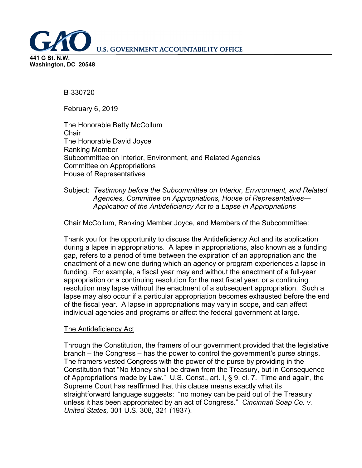**U.S. GOVERNMENT ACCOUNTABILITY OFFICE** 

**441 G St. N.W. Washington, DC 20548**

B-330720

February 6, 2019

The Honorable Betty McCollum **Chair** The Honorable David Joyce Ranking Member Subcommittee on Interior, Environment, and Related Agencies Committee on Appropriations House of Representatives

Subject: *Testimony before the Subcommittee on Interior, Environment, and Related Agencies, Committee on Appropriations, House of Representatives— Application of the Antideficiency Act to a Lapse in Appropriations* 

Chair McCollum, Ranking Member Joyce, and Members of the Subcommittee:

Thank you for the opportunity to discuss the Antideficiency Act and its application during a lapse in appropriations. A lapse in appropriations, also known as a funding gap, refers to a period of time between the expiration of an appropriation and the enactment of a new one during which an agency or program experiences a lapse in funding. For example, a fiscal year may end without the enactment of a full-year appropriation or a continuing resolution for the next fiscal year, or a continuing resolution may lapse without the enactment of a subsequent appropriation. Such a lapse may also occur if a particular appropriation becomes exhausted before the end of the fiscal year. A lapse in appropriations may vary in scope, and can affect individual agencies and programs or affect the federal government at large.

## The Antideficiency Act

Through the Constitution, the framers of our government provided that the legislative branch – the Congress – has the power to control the government's purse strings. The framers vested Congress with the power of the purse by providing in the Constitution that "No Money shall be drawn from the Treasury, but in Consequence of Appropriations made by Law." U.S. Const., art. I, § 9, cl. 7. Time and again, the Supreme Court has reaffirmed that this clause means exactly what its straightforward language suggests: "no money can be paid out of the Treasury unless it has been appropriated by an act of Congress." *Cincinnati Soap Co. v. United States,* 301 U.S. 308, 321 (1937).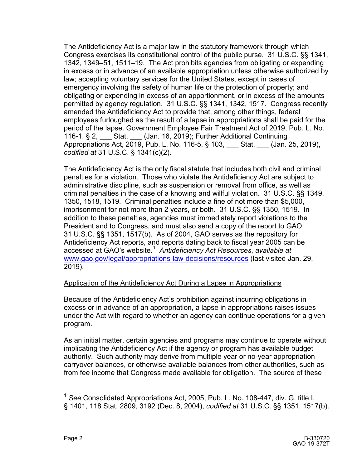The Antideficiency Act is a major law in the statutory framework through which Congress exercises its constitutional control of the public purse. 31 U.S.C. §§ 1341, 1342, 1349–51, 1511–19. The Act prohibits agencies from obligating or expending in excess or in advance of an available appropriation unless otherwise authorized by law; accepting voluntary services for the United States, except in cases of emergency involving the safety of human life or the protection of property; and obligating or expending in excess of an apportionment, or in excess of the amounts permitted by agency regulation. 31 U.S.C. §§ 1341, 1342, 1517. Congress recently amended the Antideficiency Act to provide that, among other things, federal employees furloughed as the result of a lapse in appropriations shall be paid for the period of the lapse. Government Employee Fair Treatment Act of 2019, Pub. L. No. 116-1, § 2, Stat. (Jan. 16, 2019); Further Additional Continuing Appropriations Act, 2019, Pub. L. No. 116-5, § 103, \_\_\_ Stat. \_\_\_ (Jan. 25, 2019), *codified at* 31 U.S.C. § 1341(c)(2).

The Antideficiency Act is the only fiscal statute that includes both civil and criminal penalties for a violation. Those who violate the Antideficiency Act are subject to administrative discipline, such as suspension or removal from office, as well as criminal penalties in the case of a knowing and willful violation. 31 U.S.C. §§ 1349, 1350, 1518, 1519. Criminal penalties include a fine of not more than \$5,000, imprisonment for not more than 2 years, or both. 31 U.S.C. §§ 1350, 1519. In addition to these penalties, agencies must immediately report violations to the President and to Congress, and must also send a copy of the report to GAO. 31 U.S.C. §§ 1351, 1517(b). As of 2004, GAO serves as the repository for Antideficiency Act reports, and reports dating back to fiscal year 2005 can be accessed at GAO's website.[1](#page-1-0) *Antideficiency Act Resources*, *available at* <www.gao.gov/legal/appropriations-law-decisions/resources> (last visited Jan. 29, 2019).

## Application of the Antideficiency Act During a Lapse in Appropriations

Because of the Antideficiency Act's prohibition against incurring obligations in excess or in advance of an appropriation, a lapse in appropriations raises issues under the Act with regard to whether an agency can continue operations for a given program.

As an initial matter, certain agencies and programs may continue to operate without implicating the Antideficiency Act if the agency or program has available budget authority. Such authority may derive from multiple year or no-year appropriation carryover balances, or otherwise available balances from other authorities, such as from fee income that Congress made available for obligation. The source of these

<span id="page-1-0"></span> <sup>1</sup> *See* Consolidated Appropriations Act, 2005, Pub. L. No. 108-447, div. G, title I, § 1401, 118 Stat. 2809, 3192 (Dec. 8, 2004), *codified at* 31 U.S.C. §§ 1351, 1517(b).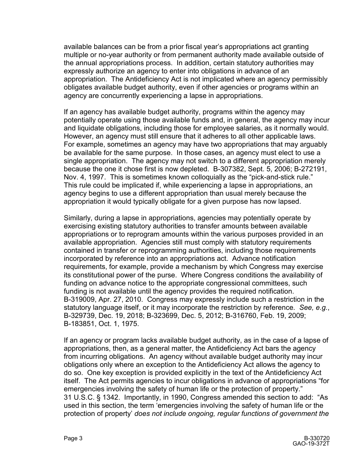available balances can be from a prior fiscal year's appropriations act granting multiple or no-year authority or from permanent authority made available outside of the annual appropriations process. In addition, certain statutory authorities may expressly authorize an agency to enter into obligations in advance of an appropriation. The Antideficiency Act is not implicated where an agency permissibly obligates available budget authority, even if other agencies or programs within an agency are concurrently experiencing a lapse in appropriations.

If an agency has available budget authority, programs within the agency may potentially operate using those available funds and, in general, the agency may incur and liquidate obligations, including those for employee salaries, as it normally would. However, an agency must still ensure that it adheres to all other applicable laws. For example, sometimes an agency may have two appropriations that may arguably be available for the same purpose. In those cases, an agency must elect to use a single appropriation. The agency may not switch to a different appropriation merely because the one it chose first is now depleted. B-307382, Sept. 5, 2006; B-272191, Nov. 4, 1997. This is sometimes known colloquially as the "pick-and-stick rule." This rule could be implicated if, while experiencing a lapse in appropriations, an agency begins to use a different appropriation than usual merely because the appropriation it would typically obligate for a given purpose has now lapsed.

Similarly, during a lapse in appropriations, agencies may potentially operate by exercising existing statutory authorities to transfer amounts between available appropriations or to reprogram amounts within the various purposes provided in an available appropriation. Agencies still must comply with statutory requirements contained in transfer or reprogramming authorities, including those requirements incorporated by reference into an appropriations act. Advance notification requirements, for example, provide a mechanism by which Congress may exercise its constitutional power of the purse. Where Congress conditions the availability of funding on advance notice to the appropriate congressional committees, such funding is not available until the agency provides the required notification. B-319009, Apr. 27, 2010. Congress may expressly include such a restriction in the statutory language itself, or it may incorporate the restriction by reference*. See, e.g.*, B-329739, Dec. 19, 2018; B-323699, Dec. 5, 2012; B-316760, Feb. 19, 2009; B-183851, Oct. 1, 1975.

If an agency or program lacks available budget authority, as in the case of a lapse of appropriations, then, as a general matter, the Antideficiency Act bars the agency from incurring obligations. An agency without available budget authority may incur obligations only where an exception to the Antideficiency Act allows the agency to do so. One key exception is provided explicitly in the text of the Antideficiency Act itself. The Act permits agencies to incur obligations in advance of appropriations "for emergencies involving the safety of human life or the protection of property." 31 U.S.C. § 1342. Importantly, in 1990, Congress amended this section to add: "As used in this section, the term 'emergencies involving the safety of human life or the protection of property' *does not include ongoing, regular functions of government the*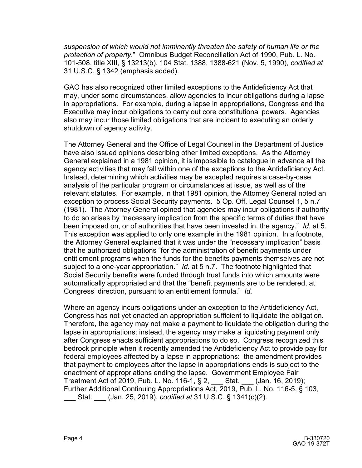*suspension of which would not imminently threaten the safety of human life or the protection of property.*" Omnibus Budget Reconciliation Act of 1990, Pub. L. No. 101-508, title XIII, § 13213(b), 104 Stat. 1388, 1388-621 (Nov. 5, 1990), *codified at* 31 U.S.C. § 1342 (emphasis added).

GAO has also recognized other limited exceptions to the Antideficiency Act that may, under some circumstances, allow agencies to incur obligations during a lapse in appropriations. For example, during a lapse in appropriations, Congress and the Executive may incur obligations to carry out core constitutional powers. Agencies also may incur those limited obligations that are incident to executing an orderly shutdown of agency activity.

The Attorney General and the Office of Legal Counsel in the Department of Justice have also issued opinions describing other limited exceptions. As the Attorney General explained in a 1981 opinion, it is impossible to catalogue in advance all the agency activities that may fall within one of the exceptions to the Antideficiency Act. Instead, determining which activities may be excepted requires a case-by-case analysis of the particular program or circumstances at issue, as well as of the relevant statutes. For example, in that 1981 opinion, the Attorney General noted an exception to process Social Security payments. 5 Op. Off. Legal Counsel 1, 5 n.7 (1981). The Attorney General opined that agencies may incur obligations if authority to do so arises by "necessary implication from the specific terms of duties that have been imposed on, or of authorities that have been invested in, the agency." *Id.* at 5. This exception was applied to only one example in the 1981 opinion. In a footnote, the Attorney General explained that it was under the "necessary implication" basis that he authorized obligations "for the administration of benefit payments under entitlement programs when the funds for the benefits payments themselves are not subject to a one-year appropriation." *Id.* at 5 n.7. The footnote highlighted that Social Security benefits were funded through trust funds into which amounts were automatically appropriated and that the "benefit payments are to be rendered, at Congress' direction, pursuant to an entitlement formula." *Id.*

Where an agency incurs obligations under an exception to the Antideficiency Act, Congress has not yet enacted an appropriation sufficient to liquidate the obligation. Therefore, the agency may not make a payment to liquidate the obligation during the lapse in appropriations; instead, the agency may make a liquidating payment only after Congress enacts sufficient appropriations to do so. Congress recognized this bedrock principle when it recently amended the Antideficiency Act to provide pay for federal employees affected by a lapse in appropriations: the amendment provides that payment to employees after the lapse in appropriations ends is subject to the enactment of appropriations ending the lapse. Government Employee Fair Treatment Act of 2019, Pub. L. No. 116-1, § 2, \_\_\_ Stat. \_\_\_ (Jan. 16, 2019); Further Additional Continuing Appropriations Act, 2019, Pub. L. No. 116-5, § 103, \_\_\_ Stat. \_\_\_ (Jan. 25, 2019), *codified at* 31 U.S.C. § 1341(c)(2).